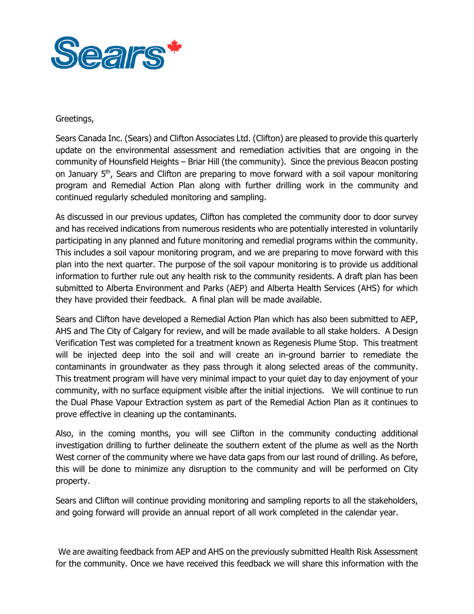

## Greetings,

Greetings,<br>Sears Canada Inc. (Sears) and Clifton Associates Ltd. (Clifton) are pleased to provide this quarterly update on the environmental assessment and remediation activities that are ongoing in the community of Hounsfield Heights – Briar Hill (the community). Since the previous Beacon posting on January 5<sup>th</sup>, Sears and Clifton are preparing to move forward with a soil vapour monitoring program and Remedial Action Plan along with further drilling work in the community and continued regularly scheduled monitoring and sampling.

 As discussed in our previous updates, Clifton has completed the community door to door survey and has received indications from numerous residents who are potentially interested in voluntarily participating in any planned and future monitoring and remedial programs within the community. This includes a soil vapour monitoring program, and we are preparing to move forward with this plan into the next quarter. The purpose of the soil vapour monitoring is to provide us additional information to further rule out any health risk to the community residents. A draft plan has been submitted to Alberta Environment and Parks (AEP) and Alberta Health Services (AHS) for which they have provided their feedback. A final plan will be made available.

 Sears and Clifton have developed a Remedial Action Plan which has also been submitted to AEP, AHS and The City of Calgary for review, and will be made available to all stake holders. A Design Verification Test was completed for a treatment known as Regenesis Plume Stop. This treatment will be injected deep into the soil and will create an in-ground barrier to remediate the contaminants in groundwater as they pass through it along selected areas of the community. This treatment program will have very minimal impact to your quiet day to day enjoyment of your community, with no surface equipment visible after the initial injections. We will continue to run the Dual Phase Vapour Extraction system as part of the Remedial Action Plan as it continues to prove effective in cleaning up the contaminants.

 Also, in the coming months, you will see Clifton in the community conducting additional investigation drilling to further delineate the southern extent of the plume as well as the North West corner of the community where we have data gaps from our last round of drilling. As before, this will be done to minimize any disruption to the community and will be performed on City property.

property.<br>Sears and Clifton will continue providing monitoring and sampling reports to all the stakeholders, and going forward will provide an annual report of all work completed in the calendar year.

 We are awaiting feedback from AEP and AHS on the previously submitted Health Risk Assessment for the community. Once we have received this feedback we will share this information with the